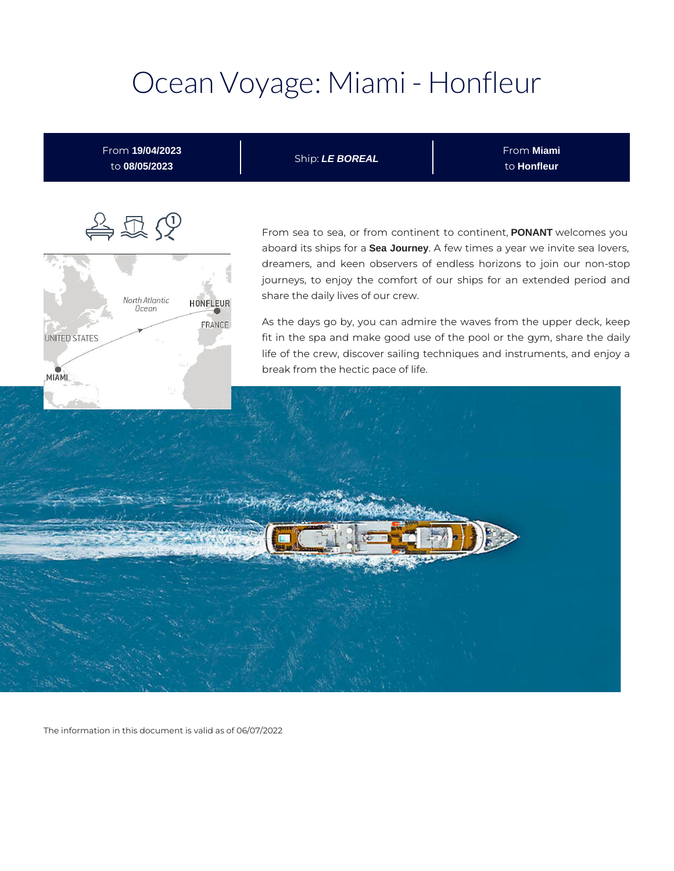# Ocean Voyage: Miami - Honfleur



The information in this document is valid as of 06/07/2022